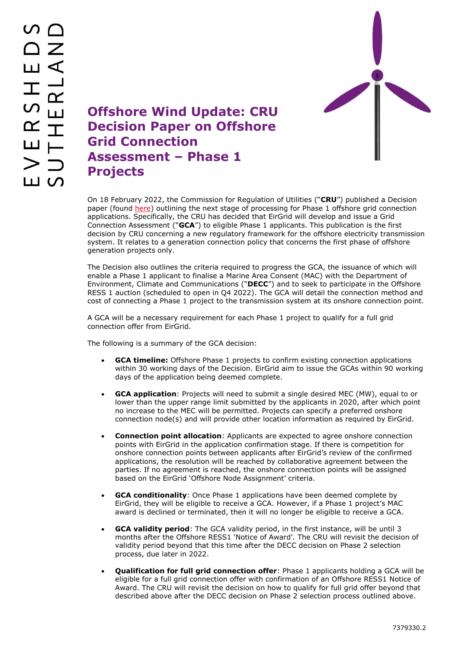

**Offshore Wind Update: CRU Decision Paper on Offshore Grid Connection Assessment – Phase 1 Projects**

On 18 February 2022, the Commission for Regulation of Utilities ("**CRU**") published a Decision paper (found [here\)](https://www.cru.ie/wp-content/uploads/2022/02/CRU202214-Decision-Offshore-Grid-Connection-Assessment-Phase-1-Projects2.pdf) outlining the next stage of processing for Phase 1 offshore grid connection applications. Specifically, the CRU has decided that EirGrid will develop and issue a Grid Connection Assessment ("**GCA**") to eligible Phase 1 applicants. This publication is the first decision by CRU concerning a new regulatory framework for the offshore electricity transmission system. It relates to a generation connection policy that concerns the first phase of offshore generation projects only.

The Decision also outlines the criteria required to progress the GCA, the issuance of which will enable a Phase 1 applicant to finalise a Marine Area Consent (MAC) with the Department of Environment, Climate and Communications ("**DECC**") and to seek to participate in the Offshore RESS 1 auction (scheduled to open in Q4 2022). The GCA will detail the connection method and cost of connecting a Phase 1 project to the transmission system at its onshore connection point.

A GCA will be a necessary requirement for each Phase 1 project to qualify for a full grid connection offer from EirGrid.

The following is a summary of the GCA decision:

- **GCA timeline:** Offshore Phase 1 projects to confirm existing connection applications within 30 working days of the Decision. EirGrid aim to issue the GCAs within 90 working days of the application being deemed complete.
- **GCA application**: Projects will need to submit a single desired MEC (MW), equal to or lower than the upper range limit submitted by the applicants in 2020, after which point no increase to the MEC will be permitted. Projects can specify a preferred onshore connection node(s) and will provide other location information as required by EirGrid.
- **Connection point allocation**: Applicants are expected to agree onshore connection points with EirGrid in the application confirmation stage. If there is competition for onshore connection points between applicants after EirGrid's review of the confirmed applications, the resolution will be reached by collaborative agreement between the parties. If no agreement is reached, the onshore connection points will be assigned based on the EirGrid 'Offshore Node Assignment' criteria.
- **GCA conditionality**: Once Phase 1 applications have been deemed complete by EirGrid, they will be eligible to receive a GCA. However, if a Phase 1 project's MAC award is declined or terminated, then it will no longer be eligible to receive a GCA.
- **GCA validity period**: The GCA validity period, in the first instance, will be until 3 months after the Offshore RESS1 'Notice of Award'. The CRU will revisit the decision of validity period beyond that this time after the DECC decision on Phase 2 selection process, due later in 2022.
- **Qualification for full grid connection offer**: Phase 1 applicants holding a GCA will be eligible for a full grid connection offer with confirmation of an Offshore RESS1 Notice of Award. The CRU will revisit the decision on how to qualify for full grid offer beyond that described above after the DECC decision on Phase 2 selection process outlined above.